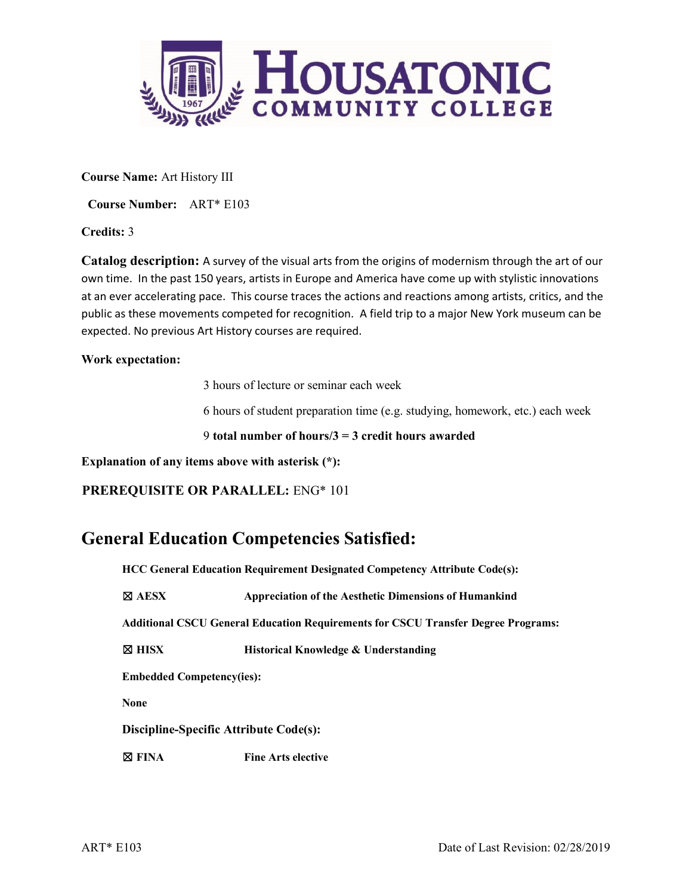

**Course Name:** Art History III

 **Course Number:** ART\* E103

**Credits:** 3

**Catalog description:** A survey of the visual arts from the origins of modernism through the art of our own time. In the past 150 years, artists in Europe and America have come up with stylistic innovations at an ever accelerating pace. This course traces the actions and reactions among artists, critics, and the public as these movements competed for recognition. A field trip to a major New York museum can be expected. No previous Art History courses are required.

#### **Work expectation:**

3 hours of lecture or seminar each week

6 hours of student preparation time (e.g. studying, homework, etc.) each week

9 **total number of hours/3 = 3 credit hours awarded**

**Explanation of any items above with asterisk (\*):**

**PREREQUISITE OR PARALLEL:** ENG\* 101

# **General Education Competencies Satisfied:**

**HCC General Education Requirement Designated Competency Attribute Code(s):** 

☒ **AESX Appreciation of the Aesthetic Dimensions of Humankind**

**Additional CSCU General Education Requirements for CSCU Transfer Degree Programs:** 

☒ **HISX Historical Knowledge & Understanding**

**Embedded Competency(ies):**

**None**

**Discipline-Specific Attribute Code(s):**

☒ **FINA Fine Arts elective**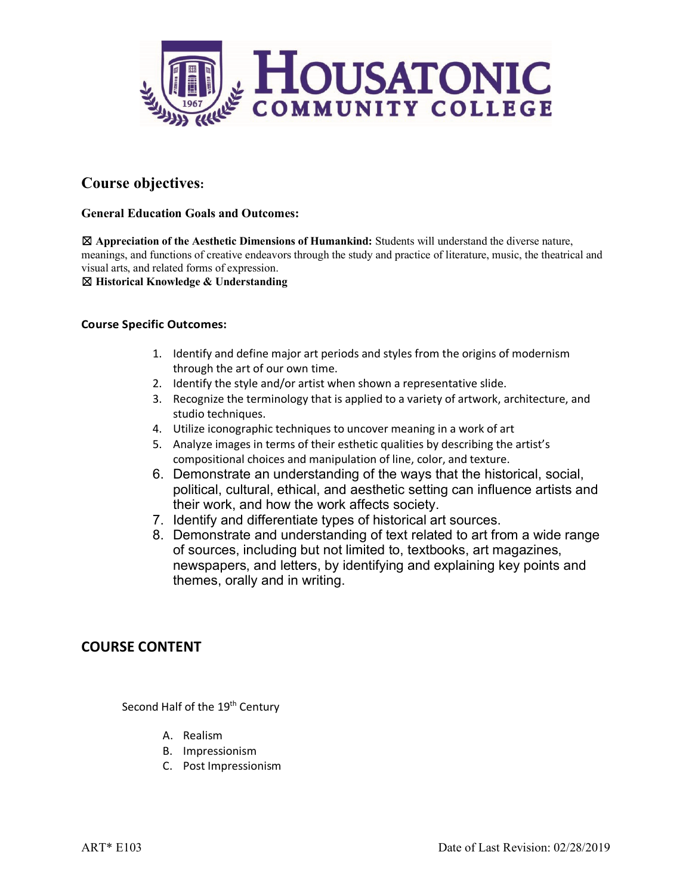

## **Course objectives:**

#### **General Education Goals and Outcomes:**

☒ **Appreciation of the Aesthetic Dimensions of Humankind:** Students will understand the diverse nature, meanings, and functions of creative endeavors through the study and practice of literature, music, the theatrical and visual arts, and related forms of expression.

☒ **Historical Knowledge & Understanding**

#### **Course Specific Outcomes:**

- 1. Identify and define major art periods and styles from the origins of modernism through the art of our own time.
- 2. Identify the style and/or artist when shown a representative slide.
- 3. Recognize the terminology that is applied to a variety of artwork, architecture, and studio techniques.
- 4. Utilize iconographic techniques to uncover meaning in a work of art
- 5. Analyze images in terms of their esthetic qualities by describing the artist's compositional choices and manipulation of line, color, and texture.
- 6. Demonstrate an understanding of the ways that the historical, social, political, cultural, ethical, and aesthetic setting can influence artists and their work, and how the work affects society.
- 7. Identify and differentiate types of historical art sources.
- 8. Demonstrate and understanding of text related to art from a wide range of sources, including but not limited to, textbooks, art magazines, newspapers, and letters, by identifying and explaining key points and themes, orally and in writing.

### **COURSE CONTENT**

Second Half of the 19<sup>th</sup> Century

- A. Realism
- B. Impressionism
- C. Post Impressionism